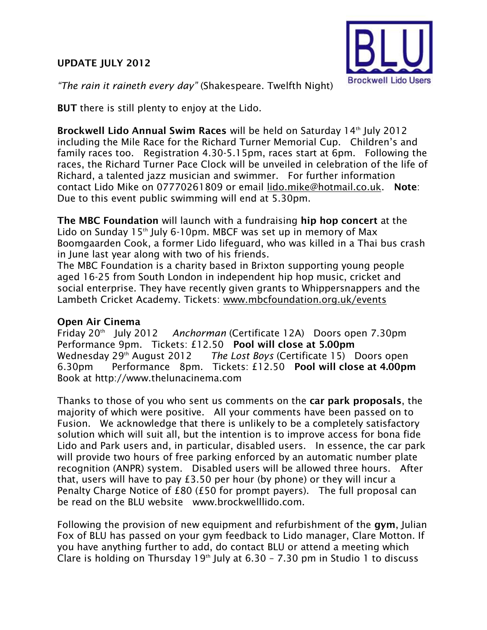## **UPDATE JULY 2012**



*"The rain it raineth every day"* (Shakespeare. Twelfth Night)

**BUT** there is still plenty to enjoy at the Lido.

**Brockwell Lido Annual Swim Races** will be held on Saturday 14<sup>th</sup> July 2012 including the Mile Race for the Richard Turner Memorial Cup. Children's and family races too. Registration 4.30-5.15pm, races start at 6pm. Following the races, the Richard Turner Pace Clock will be unveiled in celebration of the life of Richard, a talented jazz musician and swimmer. For further information contact Lido Mike on 07770261809 or email [lido.mike@hotmail.co.uk.](mailto:lido.mike@hotmail.co.uk) **Note**: Due to this event public swimming will end at 5.30pm.

**The MBC Foundation** will launch with a fundraising **hip hop concert** at the Lido on Sunday  $15<sup>th</sup>$  July 6-10pm. MBCF was set up in memory of Max Boomgaarden Cook, a former Lido lifeguard, who was killed in a Thai bus crash in June last year along with two of his friends.

The MBC Foundation is a charity based in Brixton supporting young people aged 16-25 from South London in independent hip hop music, cricket and social enterprise. They have recently given grants to Whippersnappers and the Lambeth Cricket Academy. Tickets: [www.mbcfoundation.org.uk/events](http://www.mbcfoundation.org.uk/events)

## **Open Air Cinema**

Friday 20th July 2012 *Anchorman* (Certificate 12A) Doors open 7.30pm Performance 9pm. Tickets: £12.50 **Pool will close at 5.00pm** Wednesday 29<sup>th</sup> August 2012 *The Lost Boys* (Certificate 15) Doors open 6.30pm Performance 8pm. Tickets: £12.50 **Pool will close at 4.00pm**  Book at http://www.thelunacinema.com

Thanks to those of you who sent us comments on the **car park proposals**, the majority of which were positive. All your comments have been passed on to Fusion. We acknowledge that there is unlikely to be a completely satisfactory solution which will suit all, but the intention is to improve access for bona fide Lido and Park users and, in particular, disabled users. In essence, the car park will provide two hours of free parking enforced by an automatic number plate recognition (ANPR) system. Disabled users will be allowed three hours. After that, users will have to pay £3.50 per hour (by phone) or they will incur a Penalty Charge Notice of £80 (£50 for prompt payers). The full proposal can be read on the BLU website www.brockwelllido.com.

Following the provision of new equipment and refurbishment of the **gym**, Julian Fox of BLU has passed on your gym feedback to Lido manager, Clare Motton. If you have anything further to add, do contact BLU or attend a meeting which Clare is holding on Thursday 19<sup>th</sup> July at  $6.30 - 7.30$  pm in Studio 1 to discuss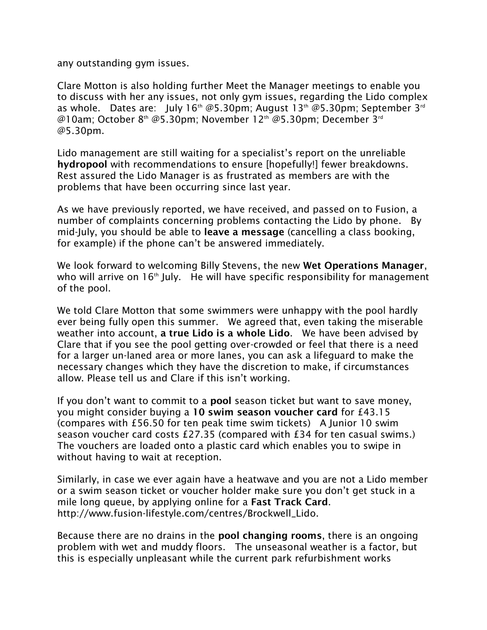any outstanding gym issues.

Clare Motton is also holding further Meet the Manager meetings to enable you to discuss with her any issues, not only gym issues, regarding the Lido complex as whole. Dates are: July  $16^{th}$  @5.30pm; August  $13^{th}$  @5.30pm; September  $3^{rd}$ @10am; October 8th @5.30pm; November 12th @5.30pm; December [3](mailto:3rd@5.30pm)rd [@5.30pm.](mailto:3rd@5.30pm)

Lido management are still waiting for a specialist's report on the unreliable **hydropool** with recommendations to ensure [hopefully!] fewer breakdowns. Rest assured the Lido Manager is as frustrated as members are with the problems that have been occurring since last year.

As we have previously reported, we have received, and passed on to Fusion, a number of complaints concerning problems contacting the Lido by phone. By mid-July, you should be able to **leave a message** (cancelling a class booking, for example) if the phone can't be answered immediately.

We look forward to welcoming Billy Stevens, the new **Wet Operations Manager**, who will arrive on  $16<sup>th</sup>$  July. He will have specific responsibility for management of the pool.

We told Clare Motton that some swimmers were unhappy with the pool hardly ever being fully open this summer. We agreed that, even taking the miserable weather into account, **a true Lido is a whole Lido**. We have been advised by Clare that if you see the pool getting over-crowded or feel that there is a need for a larger un-laned area or more lanes, you can ask a lifeguard to make the necessary changes which they have the discretion to make, if circumstances allow. Please tell us and Clare if this isn't working.

If you don't want to commit to a **pool** season ticket but want to save money, you might consider buying a **10 swim season voucher card** for £43.15 (compares with £56.50 for ten peak time swim tickets) A Junior 10 swim season voucher card costs £27.35 (compared with £34 for ten casual swims.) The vouchers are loaded onto a plastic card which enables you to swipe in without having to wait at reception.

Similarly, in case we ever again have a heatwave and you are not a Lido member or a swim season ticket or voucher holder make sure you don't get stuck in a mile long queue, by applying online for a **Fast Track Card**. http://www.fusion-lifestyle.com/centres/Brockwell\_Lido.

Because there are no drains in the **pool changing rooms**, there is an ongoing problem with wet and muddy floors. The unseasonal weather is a factor, but this is especially unpleasant while the current park refurbishment works